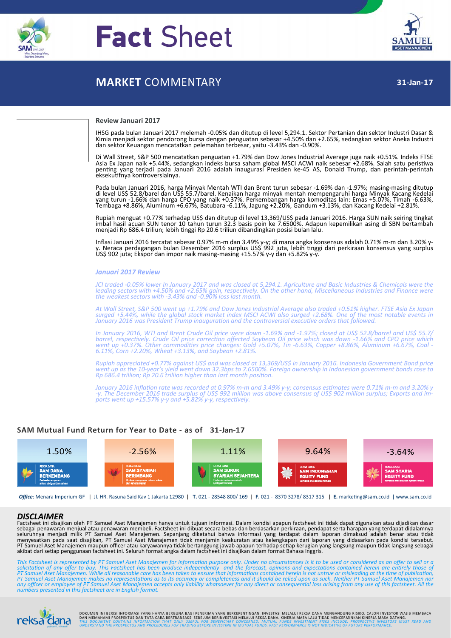

# **Fact** Sheet



# **MARKET** COMMENTARY

#### **Review Januari 2017**

IHSG pada bulan Januari 2017 melemah ‐0.05% dan ditutup di level 5,294.1. Sektor Pertanian dan sektor Industri Dasar & Kimia menjadi sektor pendorong bursa dengan penguatan sebesar +4.50% dan +2.65%, sedangkan sektor Aneka Industri dan sektor Keuangan mencatatkan pelemahan terbesar, yaitu ‐3.43% dan ‐0.90%.

Di Wall Street, S&P 500 mencatatkan penguatan +1.79% dan Dow Jones Industrial Average juga naik +0.51%. Indeks FTSE Asia Ex Japan naik +5.44%, sedangkan indeks bursa saham global MSCI ACWI naik sebesar +2.68%. Salah satu peristiwa<br>penting yang terjadi pada Januari 2016 adalah inaugurasi Presiden ke‐45 AS, Donald Trump, dan perintah‐peri eksekuƟfnya kontroversialnya.

Pada bulan Januari 2016, harga Minyak Mentah WTI dan Brent turun sebesar -1.69% dan -1.97%; masing-masing ditutup<br>di level US\$ 52.8/barel dan US\$ 55.7/barel. Kenaikan harga minyak mentah mempengaruhi harga Minyak Kacang Ke yang turun ‐1.66% dan harga CPO yang naik +0.37%. Perkembangan harga komoditas lain: Emas +5.07%, Timah ‐6.63%, Tembaga +8.86%, Aluminum +6.67%, Batubara ‐6.11%, Jagung +2.20%, Gandum +3.13%, dan Kacang Kedelai +2.81%.

Rupiah menguat +0.77% terhadap US\$ dan ditutup di level 13,369/US\$ pada Januari 2016. Harga SUN naik seiring tingkat imbal hasil acuan SUN tenor 10 tahun turun 32.3 basis poin ke 7.6500%. Adapun kepemilikan asing di SBN bertambah mbar hash adalah 56 welah 16 tahun tahun 5215 basis pemula 7.6566.64 triliun; lebih tinggi Rp 20.6 triliun dibandingkan posisi bulan lalu.

Inflasi Januari 2016 tercatat sebesar 0.97% m-m dan 3.49% y-y; di mana angka konsensus adalah 0.71% m-m dan 3.20% y-<br>y. Neraca perdagangan bulan Desember 2016 surplus US\$ 992 juta, lebih tinggi dari perkiraan konsensus yan

#### *Januari 2017 Review*

JCI traded -0.05% lower In January 2017 and was closed at 5,294.1. Agriculture and Basic Industries & Chemicals were the leading sectors with +4.50% and +2.65% gain, respectively. On the other hand, Miscellaneous Industries and Finance were<br>the weakest sectors with -3.43% and -0.90% loss last month.

At Wall Street, S&P 500 went up +1.79% and Dow Jones Industrial Average also traded +0.51% higher. FTSE Asia Ex Japan<br>surged +5.44%, while the global stock market index MSCI ACWI also surged +2.68%. One of the most notable *January 2016 was President Trump inauguraƟon and the controversial execuƟve orders that followed.*

In January 2016, WTI and Brent Crude Oil price were down -1.69% and -1.97%; closed at US\$ 52.8/barrel and US\$ 55.7/ barrel, respectively. Crude Oil price correction affected Soybean Oil price which was down -1.66% and CPO price which<br>went up +0.37%. Other commodities price changes: Gold +5.07%, Tin -6.63%, Copper +8.86%, Aluminum +6.67%

Rupiah appreciated +0.77% against US\$ and was closed at 13,369/US\$ in January 2016. Indonesia Government Bond price<br>went up as the 10-year's yield went down 32.3bps to 7.6500%. Foreign ownership in Indonesian government bo *Rp* 686.4 *trillion; Rp* 20.6 *trillion higher than last month position.* 

January 2016 inflation rate was recorded at 0.97% m-m and 3.49% y-y; consensus estimates were 0.71% m-m and 3.20% y<br>-y. The December 2016 trade surplus of US\$ 992 million was above consensus of US\$ 902 million surplus; Exp

## **SAM Mutual Fund Return for Year to Date ‐ as of 31‐Jan‐17**



*Office*: Menara Imperium GF | Jl. HR. Rasuna Said Kav 1 Jakarta 12980 | **T.** 021 ‐ 28548 800/ 169 | **F.** 021 ‐ 8370 3278/ 8317 315 | **E.** markeƟng@sam.co.id | www.sam.co.id

#### *DISCLAIMER*

Factsheet ini disajikan oleh PT Samuel Aset Manajemen hanya untuk tujuan informasi. Dalam kondisi apapun factsheet ini tidak dapat digunakan atau dijadikan dasar<br>sebagai penawaran menjual atau penawaran membeli. Factsheet

This Factsheet is represented by PT Samuel Aset Manajemen for information purpose only. Under no circumstances is it to be used or considered as an offer to sell or a<br>solicitation of any offer to buy. This Factsheet has be PT Samuel Aset Manajemen makes no representations as to its accuracy or completeness and it should be relied upon as such. Neither PT Samuel Aset Manajemen nor<br>any officer or employee of PT Samuel Aset Manajemen accepts on *numbers presented in this factsheet are in English format.*



DOKUMEN INI BERISI INFORMASI YANG HANYA BERGUNA BAGI PENERIMA YANG BERKEPENTINGAN. INVESTASI MELALUI REKSA DANA MENGANDUNG RISIKO. CALON INVESTOR WAJIB MEMBACA<br>DAN MEMAHAMI PROSPEKTUS DAN TATA CARA BERTRANSAKSI SEBELUM BER **UCIFICE** THIS DOCUMENT CONTAINS INFORMATION THAT ONLY USEFUL FOR BENEFICIARY CONCERNED. MUTUAL FUNDS INVESTMENT RISKS INCLUDE. PROSPECTIVE INVESTORS MUST READ AND<br><sub>pahami, nikmati! UNDERSTAND THE PROSPECTUS AND PROCEDURES</sub>